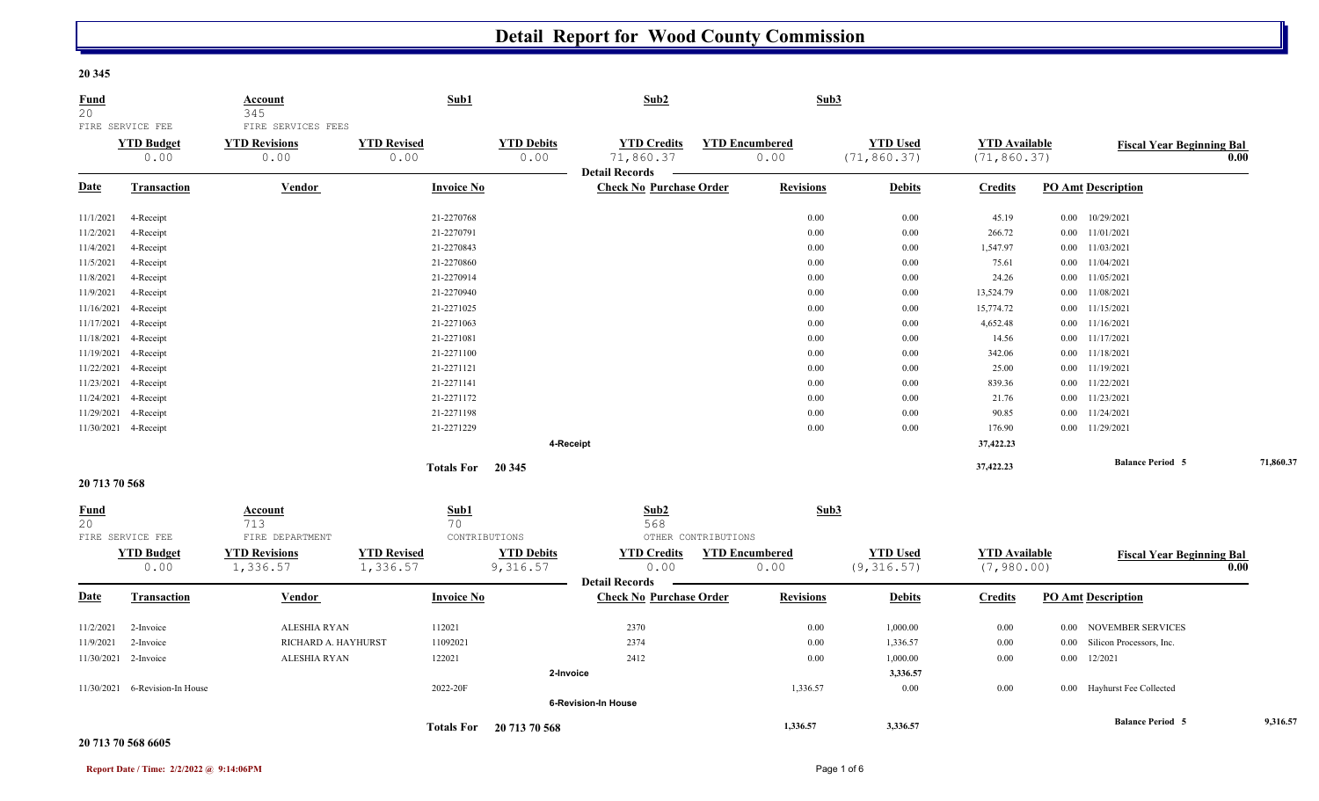#### **20 345**

| <b>Fund</b><br>20 | FIRE SERVICE FEE          | <b>Account</b><br>345<br>FIRE SERVICES FEES | Sub1                       |                           | Sub2                                                     |                               | Sub3     |                                 |                                      |          |                                  |      |           |
|-------------------|---------------------------|---------------------------------------------|----------------------------|---------------------------|----------------------------------------------------------|-------------------------------|----------|---------------------------------|--------------------------------------|----------|----------------------------------|------|-----------|
|                   | <b>YTD Budget</b><br>0.00 | <b>YTD Revisions</b><br>0.00                | <b>YTD Revised</b><br>0.00 | <b>YTD Debits</b><br>0.00 | <b>YTD Credits</b><br>71,860.37<br><b>Detail Records</b> | <b>YTD Encumbered</b><br>0.00 |          | <b>YTD Used</b><br>(71, 860.37) | <b>YTD</b> Available<br>(71, 860.37) |          | <b>Fiscal Year Beginning Bal</b> | 0.00 |           |
| <b>Date</b>       | <b>Transaction</b>        | <b>Vendor</b>                               | <b>Invoice No</b>          |                           | <b>Check No Purchase Order</b>                           | <b>Revisions</b>              |          | <b>Debits</b>                   | <b>Credits</b>                       |          | <b>PO Amt Description</b>        |      |           |
| 11/1/2021         | 4-Receipt                 |                                             | 21-2270768                 |                           |                                                          |                               | 0.00     | 0.00                            | 45.19                                | $0.00\,$ | 10/29/2021                       |      |           |
| 11/2/2021         | 4-Receipt                 |                                             | 21-2270791                 |                           |                                                          |                               | 0.00     | 0.00                            | 266.72                               |          | $0.00$ $11/01/2021$              |      |           |
| 11/4/2021         | 4-Receipt                 |                                             | 21-2270843                 |                           |                                                          |                               | 0.00     | 0.00                            | 1,547.97                             | $0.00\,$ | 11/03/2021                       |      |           |
| 11/5/2021         | 4-Receipt                 |                                             | 21-2270860                 |                           |                                                          |                               | 0.00     | 0.00                            | 75.61                                | $0.00\,$ | 11/04/2021                       |      |           |
| 11/8/2021         | 4-Receipt                 |                                             | 21-2270914                 |                           |                                                          |                               | 0.00     | 0.00                            | 24.26                                | $0.00\,$ | 11/05/2021                       |      |           |
| 11/9/2021         | 4-Receipt                 |                                             | 21-2270940                 |                           |                                                          |                               | 0.00     | 0.00                            | 13,524.79                            | $0.00\,$ | 11/08/2021                       |      |           |
| 11/16/2021        | 4-Receipt                 |                                             | 21-2271025                 |                           |                                                          |                               | 0.00     | 0.00                            | 15,774.72                            | $0.00\,$ | 11/15/2021                       |      |           |
| 11/17/2021        | 4-Receipt                 |                                             | 21-2271063                 |                           |                                                          |                               | 0.00     | 0.00                            | 4,652.48                             | $0.00\,$ | 11/16/2021                       |      |           |
| 11/18/2021        | 4-Receipt                 |                                             | 21-2271081                 |                           |                                                          |                               | 0.00     | 0.00                            | 14.56                                | 0.00     | 11/17/2021                       |      |           |
| 11/19/2021        | 4-Receipt                 |                                             | 21-2271100                 |                           |                                                          |                               | 0.00     | 0.00                            | 342.06                               | $0.00\,$ | 11/18/2021                       |      |           |
| 11/22/2021        | 4-Receipt                 |                                             | 21-2271121                 |                           |                                                          |                               | 0.00     | 0.00                            | 25.00                                |          | $0.00$ $11/19/2021$              |      |           |
| 11/23/2021        | 4-Receipt                 |                                             | 21-2271141                 |                           |                                                          |                               | 0.00     | 0.00                            | 839.36                               | $0.00\,$ | 11/22/2021                       |      |           |
| 11/24/2021        | 4-Receipt                 |                                             | 21-2271172                 |                           |                                                          |                               | 0.00     | 0.00                            | 21.76                                | $0.00\,$ | 11/23/2021                       |      |           |
| 11/29/2021        | 4-Receipt                 |                                             | 21-2271198                 |                           |                                                          |                               | 0.00     | 0.00                            | 90.85                                | $0.00\,$ | 11/24/2021                       |      |           |
|                   | 11/30/2021 4-Receipt      |                                             | 21-2271229                 |                           |                                                          |                               | 0.00     | 0.00                            | 176.90                               |          | 0.00 11/29/2021                  |      |           |
|                   |                           |                                             |                            | 4-Receipt                 |                                                          |                               |          |                                 | 37,422.23                            |          |                                  |      |           |
|                   |                           |                                             | Totals For 20 345          |                           |                                                          |                               |          |                                 | 37,422.23                            |          | <b>Balance Period 5</b>          |      | 71,860.37 |
| 20 713 70 568     |                           |                                             |                            |                           |                                                          |                               |          |                                 |                                      |          |                                  |      |           |
| <b>Fund</b><br>20 | FIRE SERVICE FEE          | <b>Account</b><br>713<br>FIRE DEPARTMENT    | Sub1<br>70                 | CONTRIBUTIONS             | Sub2<br>568                                              | OTHER CONTRIBUTIONS           | Sub3     |                                 |                                      |          |                                  |      |           |
|                   | <b>YTD Budget</b>         | <b>YTD Revisions</b>                        | <b>YTD Revised</b>         | <b>YTD Debits</b>         | <b>YTD Credits</b>                                       | <b>YTD Encumbered</b>         |          | <b>YTD Used</b>                 | <b>YTD Available</b>                 |          | <b>Fiscal Year Beginning Bal</b> |      |           |
|                   | 0.00                      | 1,336.57                                    | 1,336.57                   | 9,316.57                  | 0.00<br><b>Detail Records</b>                            | 0.00                          |          | (9, 316.57)                     | (7, 980.00)                          |          |                                  | 0.00 |           |
| <b>Date</b>       | Transaction               | <b>Vendor</b>                               | <b>Invoice No</b>          |                           | <b>Check No Purchase Order</b>                           | <b>Revisions</b>              |          | <b>Debits</b>                   | <b>Credits</b>                       |          | <b>PO Amt Description</b>        |      |           |
| 11/2/2021         | 2-Invoice                 | <b>ALESHIA RYAN</b>                         | 112021                     |                           | 2370                                                     |                               | 0.00     | 1,000.00                        | 0.00                                 |          | 0.00 NOVEMBER SERVICES           |      |           |
| 11/9/2021         | 2-Invoice                 | RICHARD A. HAYHURST                         | 11092021                   |                           | 2374                                                     |                               | $0.00\,$ | 1,336.57                        | 0.00                                 | $0.00\,$ | Silicon Processors, Inc.         |      |           |
| 11/30/2021        | 2-Invoice                 | <b>ALESHIA RYAN</b>                         | 122021                     |                           | 2412                                                     |                               | 0.00     | 1,000.00                        | 0.00                                 | 0.00     | 12/2021                          |      |           |
|                   |                           |                                             |                            | 2-Invoice                 |                                                          |                               |          | 3,336.57                        |                                      |          |                                  |      |           |
| 11/30/2021        | 6-Revision-In House       |                                             | 2022-20F                   |                           |                                                          |                               | 1,336.57 | 0.00                            | 0.00                                 |          | 0.00 Hayhurst Fee Collected      |      |           |
|                   |                           |                                             |                            |                           | <b>6-Revision-In House</b>                               |                               |          |                                 |                                      |          |                                  |      |           |

#### **20 713 70 568 6605**

 **1,336.57 3,336.57 Balance Period 5 9,316.57 Totals For 20 713 70 568**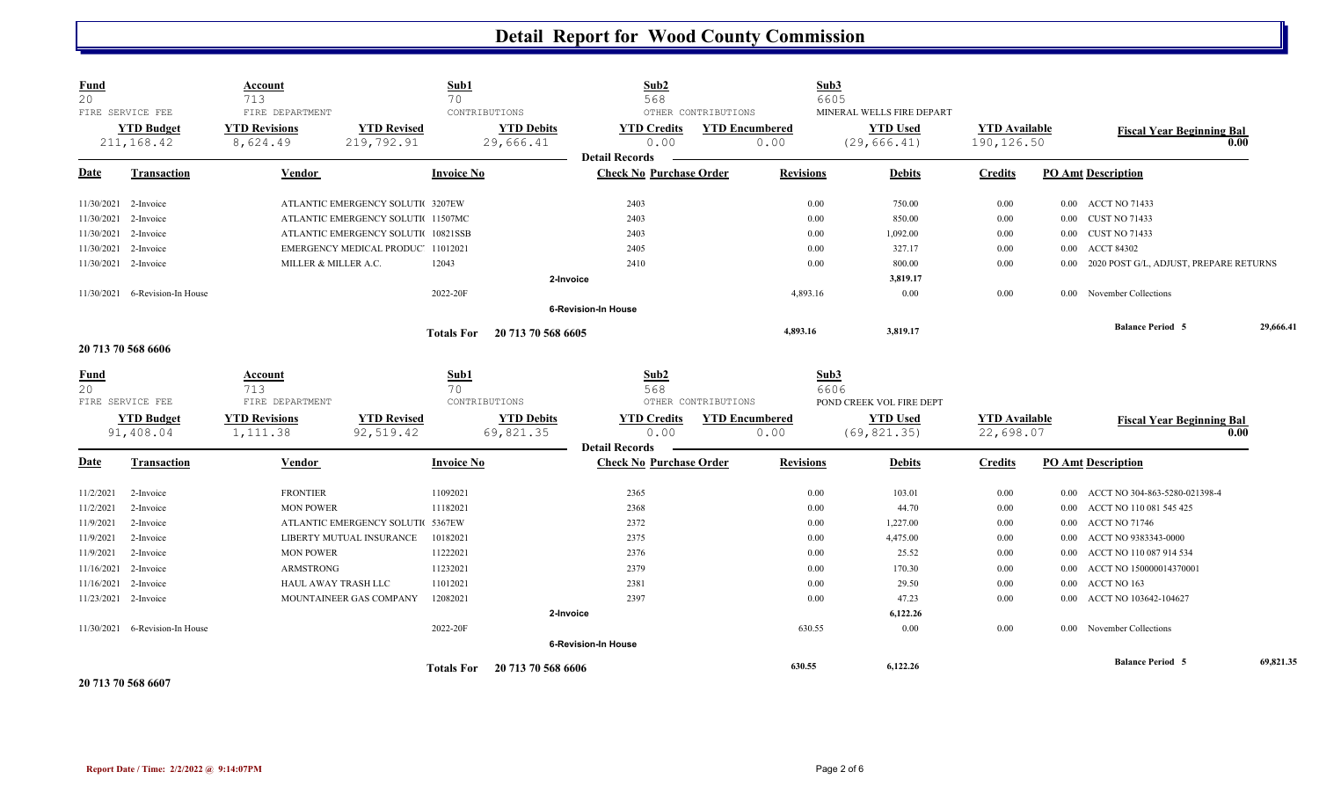| Fund<br>20  |                                                     | Account<br>713                                      |                                    | Sub1<br>70        |                                                 | Sub <sub>2</sub><br>568                                 |                                              | Sub3<br>6605     |                                                               |                                    |          |                                        |           |
|-------------|-----------------------------------------------------|-----------------------------------------------------|------------------------------------|-------------------|-------------------------------------------------|---------------------------------------------------------|----------------------------------------------|------------------|---------------------------------------------------------------|------------------------------------|----------|----------------------------------------|-----------|
|             | FIRE SERVICE FEE<br><b>YTD Budget</b><br>211,168.42 | FIRE DEPARTMENT<br><b>YTD Revisions</b><br>8,624.49 | <b>YTD Revised</b><br>219,792.91   |                   | CONTRIBUTIONS<br><b>YTD Debits</b><br>29,666.41 | <b>YTD Credits</b><br>0.00                              | OTHER CONTRIBUTIONS<br><b>YTD Encumbered</b> | 0.00             | MINERAL WELLS FIRE DEPART<br><b>YTD Used</b><br>(29, 666, 41) | <b>YTD Available</b><br>190,126.50 |          | <b>Fiscal Year Beginning Bal</b>       | 0.00      |
| <u>Date</u> | <b>Transaction</b>                                  | Vendor                                              |                                    | <b>Invoice No</b> |                                                 | <b>Detail Records</b><br><b>Check No Purchase Order</b> |                                              | <b>Revisions</b> | <b>Debits</b>                                                 | <b>Credits</b>                     |          | <b>PO Amt Description</b>              |           |
|             | 11/30/2021 2-Invoice                                |                                                     | ATLANTIC EMERGENCY SOLUTI 3207EW   |                   |                                                 | 2403                                                    |                                              | 0.00             | 750.00                                                        | 0.00                               |          | 0.00 ACCT NO 71433                     |           |
| 11/30/2021  | 2-Invoice                                           |                                                     | ATLANTIC EMERGENCY SOLUTI 11507MC  |                   |                                                 | 2403                                                    |                                              | 0.00             | 850.00                                                        | 0.00                               |          | 0.00 CUST NO 71433                     |           |
| 11/30/2021  | 2-Invoice                                           |                                                     | ATLANTIC EMERGENCY SOLUTI 10821SSB |                   |                                                 | 2403                                                    |                                              | 0.00             | 1,092.00                                                      | 0.00                               |          | 0.00 CUST NO 71433                     |           |
|             | 11/30/2021 2-Invoice                                |                                                     | EMERGENCY MEDICAL PRODUC 11012021  |                   |                                                 | 2405                                                    |                                              | 0.00             | 327.17                                                        | 0.00                               | $0.00\,$ | <b>ACCT 84302</b>                      |           |
|             | 11/30/2021 2-Invoice                                | MILLER & MILLER A.C.                                |                                    | 12043             |                                                 | 2410                                                    |                                              | 0.00             | 800.00                                                        | 0.00                               | $0.00\,$ | 2020 POST G/L, ADJUST, PREPARE RETURNS |           |
|             |                                                     |                                                     |                                    |                   | 2-Invoice                                       |                                                         |                                              |                  | 3,819.17                                                      |                                    |          |                                        |           |
|             | 11/30/2021 6-Revision-In House                      |                                                     |                                    | 2022-20F          |                                                 |                                                         |                                              | 4,893.16         | 0.00                                                          | 0.00                               |          | 0.00 November Collections              |           |
|             |                                                     |                                                     |                                    |                   |                                                 | <b>6-Revision-In House</b>                              |                                              |                  |                                                               |                                    |          |                                        |           |
|             |                                                     |                                                     |                                    | <b>Totals For</b> | 20 713 70 568 6605                              |                                                         |                                              | 4,893.16         | 3,819.17                                                      |                                    |          | <b>Balance Period 5</b>                | 29,666.41 |
|             | 20 713 70 568 6606                                  |                                                     |                                    |                   |                                                 |                                                         |                                              |                  |                                                               |                                    |          |                                        |           |
| <b>Fund</b> |                                                     | <b>Account</b>                                      |                                    | Sub1              |                                                 | Sub2                                                    |                                              | Sub3             |                                                               |                                    |          |                                        |           |
| 20          |                                                     | 713                                                 |                                    | 70                |                                                 | 568                                                     |                                              | 6606             |                                                               |                                    |          |                                        |           |
|             | FIRE SERVICE FEE                                    | FIRE DEPARTMENT                                     |                                    | CONTRIBUTIONS     |                                                 |                                                         | OTHER CONTRIBUTIONS                          |                  | POND CREEK VOL FIRE DEPT                                      |                                    |          |                                        |           |
|             | <b>YTD Budget</b>                                   | <b>YTD Revisions</b>                                | <b>YTD Revised</b>                 |                   | <b>YTD Debits</b>                               | <b>YTD Credits</b>                                      | <b>YTD Encumbered</b>                        |                  | <b>YTD Used</b>                                               | <b>YTD</b> Available               |          | <b>Fiscal Year Beginning Bal</b>       |           |
|             | 91,408.04                                           | 1,111.38                                            | 92,519.42                          |                   | 69,821.35                                       | 0.00                                                    |                                              | 0.00             | (69, 821.35)                                                  | 22,698.07                          |          |                                        | 0.00      |
| <u>Date</u> | <b>Transaction</b>                                  | Vendor                                              |                                    | <b>Invoice No</b> |                                                 | <b>Detail Records</b><br><b>Check No Purchase Order</b> |                                              | <b>Revisions</b> | <b>Debits</b>                                                 | <b>Credits</b>                     |          | <b>PO Amt Description</b>              |           |
|             |                                                     |                                                     |                                    |                   |                                                 |                                                         |                                              |                  |                                                               |                                    |          |                                        |           |
| 11/2/2021   | 2-Invoice                                           | <b>FRONTIER</b>                                     |                                    | 11092021          |                                                 | 2365                                                    |                                              | 0.00             | 103.01                                                        | 0.00                               | 0.00     | ACCT NO 304-863-5280-021398-4          |           |
| 11/2/2021   | 2-Invoice                                           | <b>MON POWER</b>                                    |                                    | 11182021          |                                                 | 2368                                                    |                                              | 0.00             | 44.70                                                         | 0.00                               | 0.00     | ACCT NO 110 081 545 425                |           |
| 11/9/2021   | 2-Invoice                                           |                                                     | ATLANTIC EMERGENCY SOLUTIC 5367EW  |                   |                                                 | 2372                                                    |                                              | 0.00             | 1,227.00                                                      | 0.00                               | $0.00\,$ | <b>ACCT NO 71746</b>                   |           |
| 11/9/2021   | 2-Invoice                                           |                                                     | LIBERTY MUTUAL INSURANCE           | 10182021          |                                                 | 2375                                                    |                                              | 0.00             | 4,475.00                                                      | 0.00                               | $0.00\,$ | ACCT NO 9383343-0000                   |           |
| 11/9/2021   | 2-Invoice                                           | <b>MON POWER</b>                                    |                                    | 11222021          |                                                 | 2376                                                    |                                              | 0.00             | 25.52                                                         | 0.00                               | 0.00     | ACCT NO 110 087 914 534                |           |
| 11/16/2021  | 2-Invoice                                           | <b>ARMSTRONG</b>                                    |                                    | 11232021          |                                                 | 2379                                                    |                                              | 0.00             | 170.30                                                        | 0.00                               | 0.00     | ACCT NO 150000014370001                |           |
| 11/16/2021  | 2-Invoice                                           | HAUL AWAY TRASH LLC                                 |                                    | 11012021          |                                                 | 2381                                                    |                                              | 0.00             | 29.50                                                         | 0.00                               | $0.00\,$ | ACCT NO 163                            |           |
|             | 11/23/2021 2-Invoice                                |                                                     | MOUNTAINEER GAS COMPANY            | 12082021          |                                                 | 2397                                                    |                                              | 0.00             | 47.23                                                         | 0.00                               | $0.00\,$ | ACCT NO 103642-104627                  |           |
|             |                                                     |                                                     |                                    |                   | 2-Invoice                                       |                                                         |                                              |                  | 6,122.26                                                      |                                    |          |                                        |           |
|             | 11/30/2021 6-Revision-In House                      |                                                     |                                    | 2022-20F          |                                                 |                                                         |                                              | 630.55           | 0.00                                                          | 0.00                               |          | 0.00 November Collections              |           |
|             |                                                     |                                                     |                                    |                   |                                                 | <b>6-Revision-In House</b>                              |                                              |                  |                                                               |                                    |          |                                        |           |
|             |                                                     |                                                     |                                    |                   | Totals For 20 713 70 568 6606                   |                                                         |                                              | 630.55           | 6,122.26                                                      |                                    |          | <b>Balance Period 5</b>                | 69,821.35 |

**20 713 70 568 6607**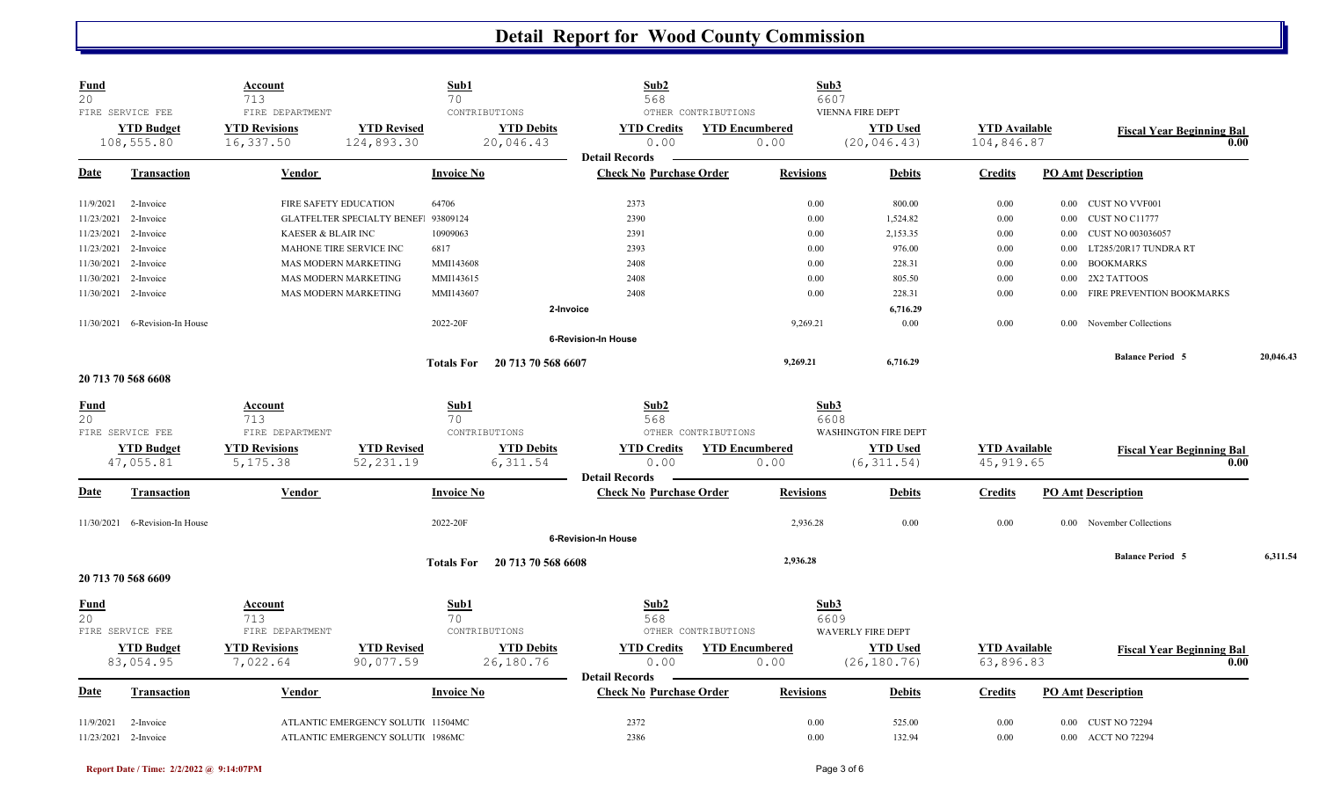| <b>YTD Revised</b><br><b>YTD Used</b><br><b>YTD Budget</b><br><b>YTD Revisions</b><br><b>YTD Debits</b><br><b>YTD Credits</b><br><b>YTD Encumbered</b><br><b>YTD Available</b><br><b>Fiscal Year Beginning Bal</b><br>16,337.50<br>124,893.30<br>20,046.43<br>0.00<br>104,846.87<br>108,555.80<br>0.00<br>(20, 046.43)<br>0.00<br><b>Detail Records</b><br><b>Check No Purchase Order</b><br>Date<br>Vendor<br><b>Invoice No</b><br><b>Revisions</b><br><b>Credits</b><br><b>PO Amt Description</b><br><b>Transaction</b><br><b>Debits</b><br>2373<br>11/9/2021<br>FIRE SAFETY EDUCATION<br>64706<br>0.00<br>800.00<br>0.00<br>0.00 CUST NO VVF001<br>2-Invoice<br>GLATFELTER SPECIALTY BENEF 93809124<br>2390<br>0.00<br>1,524.82<br>11/23/2021<br>2-Invoice<br>$0.00\,$<br>0.00 CUST NO C11777<br>10909063<br>2391<br>0.00<br>2,153.35<br>11/23/2021<br>KAESER & BLAIR INC<br>$0.00\,$<br><b>CUST NO 003036057</b><br>2-Invoice<br>0.00<br>2393<br>0.00<br>976.00<br>11/23/2021<br>MAHONE TIRE SERVICE INC<br>6817<br>0.00<br>LT285/20R17 TUNDRA RT<br>2-Invoice<br>0.00<br>MAS MODERN MARKETING<br>MMI143608<br>2408<br>0.00<br>228.31<br>0.00<br><b>BOOKMARKS</b><br>11/30/2021<br>2-Invoice<br>0.00<br>MMI143615<br>2408<br>0.00<br>805.50<br>2X2 TATTOOS<br>11/30/2021<br>2-Invoice<br>MAS MODERN MARKETING<br>0.00<br>0.00<br>MMI143607<br>2408<br>0.00<br>228.31<br>FIRE PREVENTION BOOKMARKS<br>11/30/2021 2-Invoice<br>MAS MODERN MARKETING<br>$0.00\,$<br>0.00<br>6,716.29<br>2-Invoice<br>0.00<br>11/30/2021 6-Revision-In House<br>2022-20F<br>9,269.21<br>0.00<br>November Collections<br>0.00<br><b>6-Revision-In House</b><br><b>Balance Period 5</b><br>20,046.43<br>9,269.21<br>6,716.29<br><b>Totals For</b><br>20 713 70 568 6607<br>20 713 70 568 6608<br>Sub1<br>Sub2<br>Sub3<br>Fund<br>Account<br>20<br>713<br>70<br>568<br>6608<br>FIRE SERVICE FEE<br>FIRE DEPARTMENT<br>CONTRIBUTIONS<br>OTHER CONTRIBUTIONS<br><b>WASHINGTON FIRE DEPT</b><br><b>YTD Revisions</b><br><b>YTD Revised</b><br><b>YTD Debits</b><br><b>YTD Credits</b><br><b>YTD Encumbered</b><br><b>YTD Used</b><br><b>YTD Budget</b><br><b>YTD</b> Available<br><b>Fiscal Year Beginning Bal</b><br>52,231.19<br>6,311.54<br>45, 919.65<br>47,055.81<br>5, 175.38<br>0.00<br>0.00<br>(6, 311.54)<br>0.00<br><b>Detail Records</b><br><b>Date</b><br><b>Check No Purchase Order</b><br><b>PO Amt Description</b><br><b>Transaction</b><br>Vendor<br><b>Invoice No</b><br><b>Revisions</b><br><b>Debits</b><br><b>Credits</b><br>11/30/2021 6-Revision-In House<br>2022-20F<br>2,936.28<br>0.00<br>0.00<br>November Collections<br>0.00<br><b>6-Revision-In House</b><br>6,311.54<br><b>Balance Period 5</b><br>2,936.28<br>20 713 70 568 6608<br><b>Totals For</b><br>20 713 70 568 6609<br>Sub3<br>Sub1<br>Sub2<br><u>Fund</u><br>Account<br>20<br>713<br>70<br>568<br>6609<br>FIRE SERVICE FEE<br>FIRE DEPARTMENT<br>OTHER CONTRIBUTIONS<br>CONTRIBUTIONS<br>WAVERLY FIRE DEPT<br><b>YTD Revisions</b><br><b>YTD Revised</b><br><b>YTD Debits</b><br><b>YTD Encumbered</b><br><b>YTD Used</b><br><b>YTD</b> Available<br><b>YTD Budget</b><br><b>YTD Credits</b><br><b>Fiscal Year Beginning Bal</b><br>7,022.64<br>83,054.95<br>90,077.59<br>26,180.76<br>0.00<br>0.00<br>(26, 180.76)<br>63,896.83<br>0.00<br><b>Detail Records</b><br><b>Invoice No</b><br><b>Check No Purchase Order</b><br><b>Revisions</b><br><b>PO Amt Description</b><br><b>Date</b><br><b>Transaction</b><br>Vendor<br><b>Debits</b><br><b>Credits</b><br>2372<br>0.00<br>525.00<br>0.00<br>0.00 CUST NO 72294<br>11/9/2021<br>2-Invoice<br>ATLANTIC EMERGENCY SOLUTI 11504MC<br>0.00<br>11/23/2021 2-Invoice<br>0.00<br>0.00 ACCT NO 72294<br>ATLANTIC EMERGENCY SOLUTI 1986MC | <b>Fund</b><br>20 | FIRE SERVICE FEE | Account<br>713<br>FIRE DEPARTMENT | Sub1<br>70<br>CONTRIBUTIONS | Sub2<br>568 | OTHER CONTRIBUTIONS | Sub3<br>6607 | <b>VIENNA FIRE DEPT</b> |  |  |
|-------------------------------------------------------------------------------------------------------------------------------------------------------------------------------------------------------------------------------------------------------------------------------------------------------------------------------------------------------------------------------------------------------------------------------------------------------------------------------------------------------------------------------------------------------------------------------------------------------------------------------------------------------------------------------------------------------------------------------------------------------------------------------------------------------------------------------------------------------------------------------------------------------------------------------------------------------------------------------------------------------------------------------------------------------------------------------------------------------------------------------------------------------------------------------------------------------------------------------------------------------------------------------------------------------------------------------------------------------------------------------------------------------------------------------------------------------------------------------------------------------------------------------------------------------------------------------------------------------------------------------------------------------------------------------------------------------------------------------------------------------------------------------------------------------------------------------------------------------------------------------------------------------------------------------------------------------------------------------------------------------------------------------------------------------------------------------------------------------------------------------------------------------------------------------------------------------------------------------------------------------------------------------------------------------------------------------------------------------------------------------------------------------------------------------------------------------------------------------------------------------------------------------------------------------------------------------------------------------------------------------------------------------------------------------------------------------------------------------------------------------------------------------------------------------------------------------------------------------------------------------------------------------------------------------------------------------------------------------------------------------------------------------------------------------------------------------------------------------------------------------------------------------------------------------------------------------------------------------------------------------------------------------------------------------------------------------------------------------------------------------------------------------------------------------------------------------------------------------------------------------------------------------------------------------------------------------------------------------------------------------------------------------------------------------------------------------------------------------------------------------|-------------------|------------------|-----------------------------------|-----------------------------|-------------|---------------------|--------------|-------------------------|--|--|
|                                                                                                                                                                                                                                                                                                                                                                                                                                                                                                                                                                                                                                                                                                                                                                                                                                                                                                                                                                                                                                                                                                                                                                                                                                                                                                                                                                                                                                                                                                                                                                                                                                                                                                                                                                                                                                                                                                                                                                                                                                                                                                                                                                                                                                                                                                                                                                                                                                                                                                                                                                                                                                                                                                                                                                                                                                                                                                                                                                                                                                                                                                                                                                                                                                                                                                                                                                                                                                                                                                                                                                                                                                                                                                                                                       |                   |                  |                                   |                             |             |                     |              |                         |  |  |
|                                                                                                                                                                                                                                                                                                                                                                                                                                                                                                                                                                                                                                                                                                                                                                                                                                                                                                                                                                                                                                                                                                                                                                                                                                                                                                                                                                                                                                                                                                                                                                                                                                                                                                                                                                                                                                                                                                                                                                                                                                                                                                                                                                                                                                                                                                                                                                                                                                                                                                                                                                                                                                                                                                                                                                                                                                                                                                                                                                                                                                                                                                                                                                                                                                                                                                                                                                                                                                                                                                                                                                                                                                                                                                                                                       |                   |                  |                                   |                             |             |                     |              |                         |  |  |
|                                                                                                                                                                                                                                                                                                                                                                                                                                                                                                                                                                                                                                                                                                                                                                                                                                                                                                                                                                                                                                                                                                                                                                                                                                                                                                                                                                                                                                                                                                                                                                                                                                                                                                                                                                                                                                                                                                                                                                                                                                                                                                                                                                                                                                                                                                                                                                                                                                                                                                                                                                                                                                                                                                                                                                                                                                                                                                                                                                                                                                                                                                                                                                                                                                                                                                                                                                                                                                                                                                                                                                                                                                                                                                                                                       |                   |                  |                                   |                             |             |                     |              |                         |  |  |
|                                                                                                                                                                                                                                                                                                                                                                                                                                                                                                                                                                                                                                                                                                                                                                                                                                                                                                                                                                                                                                                                                                                                                                                                                                                                                                                                                                                                                                                                                                                                                                                                                                                                                                                                                                                                                                                                                                                                                                                                                                                                                                                                                                                                                                                                                                                                                                                                                                                                                                                                                                                                                                                                                                                                                                                                                                                                                                                                                                                                                                                                                                                                                                                                                                                                                                                                                                                                                                                                                                                                                                                                                                                                                                                                                       |                   |                  |                                   |                             |             |                     |              |                         |  |  |
|                                                                                                                                                                                                                                                                                                                                                                                                                                                                                                                                                                                                                                                                                                                                                                                                                                                                                                                                                                                                                                                                                                                                                                                                                                                                                                                                                                                                                                                                                                                                                                                                                                                                                                                                                                                                                                                                                                                                                                                                                                                                                                                                                                                                                                                                                                                                                                                                                                                                                                                                                                                                                                                                                                                                                                                                                                                                                                                                                                                                                                                                                                                                                                                                                                                                                                                                                                                                                                                                                                                                                                                                                                                                                                                                                       |                   |                  |                                   |                             |             |                     |              |                         |  |  |
|                                                                                                                                                                                                                                                                                                                                                                                                                                                                                                                                                                                                                                                                                                                                                                                                                                                                                                                                                                                                                                                                                                                                                                                                                                                                                                                                                                                                                                                                                                                                                                                                                                                                                                                                                                                                                                                                                                                                                                                                                                                                                                                                                                                                                                                                                                                                                                                                                                                                                                                                                                                                                                                                                                                                                                                                                                                                                                                                                                                                                                                                                                                                                                                                                                                                                                                                                                                                                                                                                                                                                                                                                                                                                                                                                       |                   |                  |                                   |                             |             |                     |              |                         |  |  |
|                                                                                                                                                                                                                                                                                                                                                                                                                                                                                                                                                                                                                                                                                                                                                                                                                                                                                                                                                                                                                                                                                                                                                                                                                                                                                                                                                                                                                                                                                                                                                                                                                                                                                                                                                                                                                                                                                                                                                                                                                                                                                                                                                                                                                                                                                                                                                                                                                                                                                                                                                                                                                                                                                                                                                                                                                                                                                                                                                                                                                                                                                                                                                                                                                                                                                                                                                                                                                                                                                                                                                                                                                                                                                                                                                       |                   |                  |                                   |                             |             |                     |              |                         |  |  |
|                                                                                                                                                                                                                                                                                                                                                                                                                                                                                                                                                                                                                                                                                                                                                                                                                                                                                                                                                                                                                                                                                                                                                                                                                                                                                                                                                                                                                                                                                                                                                                                                                                                                                                                                                                                                                                                                                                                                                                                                                                                                                                                                                                                                                                                                                                                                                                                                                                                                                                                                                                                                                                                                                                                                                                                                                                                                                                                                                                                                                                                                                                                                                                                                                                                                                                                                                                                                                                                                                                                                                                                                                                                                                                                                                       |                   |                  |                                   |                             |             |                     |              |                         |  |  |
|                                                                                                                                                                                                                                                                                                                                                                                                                                                                                                                                                                                                                                                                                                                                                                                                                                                                                                                                                                                                                                                                                                                                                                                                                                                                                                                                                                                                                                                                                                                                                                                                                                                                                                                                                                                                                                                                                                                                                                                                                                                                                                                                                                                                                                                                                                                                                                                                                                                                                                                                                                                                                                                                                                                                                                                                                                                                                                                                                                                                                                                                                                                                                                                                                                                                                                                                                                                                                                                                                                                                                                                                                                                                                                                                                       |                   |                  |                                   |                             |             |                     |              |                         |  |  |
|                                                                                                                                                                                                                                                                                                                                                                                                                                                                                                                                                                                                                                                                                                                                                                                                                                                                                                                                                                                                                                                                                                                                                                                                                                                                                                                                                                                                                                                                                                                                                                                                                                                                                                                                                                                                                                                                                                                                                                                                                                                                                                                                                                                                                                                                                                                                                                                                                                                                                                                                                                                                                                                                                                                                                                                                                                                                                                                                                                                                                                                                                                                                                                                                                                                                                                                                                                                                                                                                                                                                                                                                                                                                                                                                                       |                   |                  |                                   |                             |             |                     |              |                         |  |  |
|                                                                                                                                                                                                                                                                                                                                                                                                                                                                                                                                                                                                                                                                                                                                                                                                                                                                                                                                                                                                                                                                                                                                                                                                                                                                                                                                                                                                                                                                                                                                                                                                                                                                                                                                                                                                                                                                                                                                                                                                                                                                                                                                                                                                                                                                                                                                                                                                                                                                                                                                                                                                                                                                                                                                                                                                                                                                                                                                                                                                                                                                                                                                                                                                                                                                                                                                                                                                                                                                                                                                                                                                                                                                                                                                                       |                   |                  |                                   |                             |             |                     |              |                         |  |  |
|                                                                                                                                                                                                                                                                                                                                                                                                                                                                                                                                                                                                                                                                                                                                                                                                                                                                                                                                                                                                                                                                                                                                                                                                                                                                                                                                                                                                                                                                                                                                                                                                                                                                                                                                                                                                                                                                                                                                                                                                                                                                                                                                                                                                                                                                                                                                                                                                                                                                                                                                                                                                                                                                                                                                                                                                                                                                                                                                                                                                                                                                                                                                                                                                                                                                                                                                                                                                                                                                                                                                                                                                                                                                                                                                                       |                   |                  |                                   |                             |             |                     |              |                         |  |  |
|                                                                                                                                                                                                                                                                                                                                                                                                                                                                                                                                                                                                                                                                                                                                                                                                                                                                                                                                                                                                                                                                                                                                                                                                                                                                                                                                                                                                                                                                                                                                                                                                                                                                                                                                                                                                                                                                                                                                                                                                                                                                                                                                                                                                                                                                                                                                                                                                                                                                                                                                                                                                                                                                                                                                                                                                                                                                                                                                                                                                                                                                                                                                                                                                                                                                                                                                                                                                                                                                                                                                                                                                                                                                                                                                                       |                   |                  |                                   |                             |             |                     |              |                         |  |  |
|                                                                                                                                                                                                                                                                                                                                                                                                                                                                                                                                                                                                                                                                                                                                                                                                                                                                                                                                                                                                                                                                                                                                                                                                                                                                                                                                                                                                                                                                                                                                                                                                                                                                                                                                                                                                                                                                                                                                                                                                                                                                                                                                                                                                                                                                                                                                                                                                                                                                                                                                                                                                                                                                                                                                                                                                                                                                                                                                                                                                                                                                                                                                                                                                                                                                                                                                                                                                                                                                                                                                                                                                                                                                                                                                                       |                   |                  |                                   |                             |             |                     |              |                         |  |  |
|                                                                                                                                                                                                                                                                                                                                                                                                                                                                                                                                                                                                                                                                                                                                                                                                                                                                                                                                                                                                                                                                                                                                                                                                                                                                                                                                                                                                                                                                                                                                                                                                                                                                                                                                                                                                                                                                                                                                                                                                                                                                                                                                                                                                                                                                                                                                                                                                                                                                                                                                                                                                                                                                                                                                                                                                                                                                                                                                                                                                                                                                                                                                                                                                                                                                                                                                                                                                                                                                                                                                                                                                                                                                                                                                                       |                   |                  |                                   |                             |             |                     |              |                         |  |  |
|                                                                                                                                                                                                                                                                                                                                                                                                                                                                                                                                                                                                                                                                                                                                                                                                                                                                                                                                                                                                                                                                                                                                                                                                                                                                                                                                                                                                                                                                                                                                                                                                                                                                                                                                                                                                                                                                                                                                                                                                                                                                                                                                                                                                                                                                                                                                                                                                                                                                                                                                                                                                                                                                                                                                                                                                                                                                                                                                                                                                                                                                                                                                                                                                                                                                                                                                                                                                                                                                                                                                                                                                                                                                                                                                                       |                   |                  |                                   |                             |             |                     |              |                         |  |  |
|                                                                                                                                                                                                                                                                                                                                                                                                                                                                                                                                                                                                                                                                                                                                                                                                                                                                                                                                                                                                                                                                                                                                                                                                                                                                                                                                                                                                                                                                                                                                                                                                                                                                                                                                                                                                                                                                                                                                                                                                                                                                                                                                                                                                                                                                                                                                                                                                                                                                                                                                                                                                                                                                                                                                                                                                                                                                                                                                                                                                                                                                                                                                                                                                                                                                                                                                                                                                                                                                                                                                                                                                                                                                                                                                                       |                   |                  |                                   |                             |             |                     |              |                         |  |  |
|                                                                                                                                                                                                                                                                                                                                                                                                                                                                                                                                                                                                                                                                                                                                                                                                                                                                                                                                                                                                                                                                                                                                                                                                                                                                                                                                                                                                                                                                                                                                                                                                                                                                                                                                                                                                                                                                                                                                                                                                                                                                                                                                                                                                                                                                                                                                                                                                                                                                                                                                                                                                                                                                                                                                                                                                                                                                                                                                                                                                                                                                                                                                                                                                                                                                                                                                                                                                                                                                                                                                                                                                                                                                                                                                                       |                   |                  |                                   |                             |             |                     |              |                         |  |  |
|                                                                                                                                                                                                                                                                                                                                                                                                                                                                                                                                                                                                                                                                                                                                                                                                                                                                                                                                                                                                                                                                                                                                                                                                                                                                                                                                                                                                                                                                                                                                                                                                                                                                                                                                                                                                                                                                                                                                                                                                                                                                                                                                                                                                                                                                                                                                                                                                                                                                                                                                                                                                                                                                                                                                                                                                                                                                                                                                                                                                                                                                                                                                                                                                                                                                                                                                                                                                                                                                                                                                                                                                                                                                                                                                                       |                   |                  |                                   |                             |             |                     |              |                         |  |  |
|                                                                                                                                                                                                                                                                                                                                                                                                                                                                                                                                                                                                                                                                                                                                                                                                                                                                                                                                                                                                                                                                                                                                                                                                                                                                                                                                                                                                                                                                                                                                                                                                                                                                                                                                                                                                                                                                                                                                                                                                                                                                                                                                                                                                                                                                                                                                                                                                                                                                                                                                                                                                                                                                                                                                                                                                                                                                                                                                                                                                                                                                                                                                                                                                                                                                                                                                                                                                                                                                                                                                                                                                                                                                                                                                                       |                   |                  |                                   |                             |             |                     |              |                         |  |  |
|                                                                                                                                                                                                                                                                                                                                                                                                                                                                                                                                                                                                                                                                                                                                                                                                                                                                                                                                                                                                                                                                                                                                                                                                                                                                                                                                                                                                                                                                                                                                                                                                                                                                                                                                                                                                                                                                                                                                                                                                                                                                                                                                                                                                                                                                                                                                                                                                                                                                                                                                                                                                                                                                                                                                                                                                                                                                                                                                                                                                                                                                                                                                                                                                                                                                                                                                                                                                                                                                                                                                                                                                                                                                                                                                                       |                   |                  |                                   |                             |             |                     |              |                         |  |  |
|                                                                                                                                                                                                                                                                                                                                                                                                                                                                                                                                                                                                                                                                                                                                                                                                                                                                                                                                                                                                                                                                                                                                                                                                                                                                                                                                                                                                                                                                                                                                                                                                                                                                                                                                                                                                                                                                                                                                                                                                                                                                                                                                                                                                                                                                                                                                                                                                                                                                                                                                                                                                                                                                                                                                                                                                                                                                                                                                                                                                                                                                                                                                                                                                                                                                                                                                                                                                                                                                                                                                                                                                                                                                                                                                                       |                   |                  |                                   |                             |             |                     |              |                         |  |  |
|                                                                                                                                                                                                                                                                                                                                                                                                                                                                                                                                                                                                                                                                                                                                                                                                                                                                                                                                                                                                                                                                                                                                                                                                                                                                                                                                                                                                                                                                                                                                                                                                                                                                                                                                                                                                                                                                                                                                                                                                                                                                                                                                                                                                                                                                                                                                                                                                                                                                                                                                                                                                                                                                                                                                                                                                                                                                                                                                                                                                                                                                                                                                                                                                                                                                                                                                                                                                                                                                                                                                                                                                                                                                                                                                                       |                   |                  |                                   |                             |             |                     |              |                         |  |  |
|                                                                                                                                                                                                                                                                                                                                                                                                                                                                                                                                                                                                                                                                                                                                                                                                                                                                                                                                                                                                                                                                                                                                                                                                                                                                                                                                                                                                                                                                                                                                                                                                                                                                                                                                                                                                                                                                                                                                                                                                                                                                                                                                                                                                                                                                                                                                                                                                                                                                                                                                                                                                                                                                                                                                                                                                                                                                                                                                                                                                                                                                                                                                                                                                                                                                                                                                                                                                                                                                                                                                                                                                                                                                                                                                                       |                   |                  |                                   |                             |             |                     |              |                         |  |  |
|                                                                                                                                                                                                                                                                                                                                                                                                                                                                                                                                                                                                                                                                                                                                                                                                                                                                                                                                                                                                                                                                                                                                                                                                                                                                                                                                                                                                                                                                                                                                                                                                                                                                                                                                                                                                                                                                                                                                                                                                                                                                                                                                                                                                                                                                                                                                                                                                                                                                                                                                                                                                                                                                                                                                                                                                                                                                                                                                                                                                                                                                                                                                                                                                                                                                                                                                                                                                                                                                                                                                                                                                                                                                                                                                                       |                   |                  |                                   |                             |             |                     |              |                         |  |  |
|                                                                                                                                                                                                                                                                                                                                                                                                                                                                                                                                                                                                                                                                                                                                                                                                                                                                                                                                                                                                                                                                                                                                                                                                                                                                                                                                                                                                                                                                                                                                                                                                                                                                                                                                                                                                                                                                                                                                                                                                                                                                                                                                                                                                                                                                                                                                                                                                                                                                                                                                                                                                                                                                                                                                                                                                                                                                                                                                                                                                                                                                                                                                                                                                                                                                                                                                                                                                                                                                                                                                                                                                                                                                                                                                                       |                   |                  |                                   |                             |             |                     |              |                         |  |  |
|                                                                                                                                                                                                                                                                                                                                                                                                                                                                                                                                                                                                                                                                                                                                                                                                                                                                                                                                                                                                                                                                                                                                                                                                                                                                                                                                                                                                                                                                                                                                                                                                                                                                                                                                                                                                                                                                                                                                                                                                                                                                                                                                                                                                                                                                                                                                                                                                                                                                                                                                                                                                                                                                                                                                                                                                                                                                                                                                                                                                                                                                                                                                                                                                                                                                                                                                                                                                                                                                                                                                                                                                                                                                                                                                                       |                   |                  |                                   |                             |             |                     |              |                         |  |  |
|                                                                                                                                                                                                                                                                                                                                                                                                                                                                                                                                                                                                                                                                                                                                                                                                                                                                                                                                                                                                                                                                                                                                                                                                                                                                                                                                                                                                                                                                                                                                                                                                                                                                                                                                                                                                                                                                                                                                                                                                                                                                                                                                                                                                                                                                                                                                                                                                                                                                                                                                                                                                                                                                                                                                                                                                                                                                                                                                                                                                                                                                                                                                                                                                                                                                                                                                                                                                                                                                                                                                                                                                                                                                                                                                                       |                   |                  |                                   |                             |             |                     |              |                         |  |  |
|                                                                                                                                                                                                                                                                                                                                                                                                                                                                                                                                                                                                                                                                                                                                                                                                                                                                                                                                                                                                                                                                                                                                                                                                                                                                                                                                                                                                                                                                                                                                                                                                                                                                                                                                                                                                                                                                                                                                                                                                                                                                                                                                                                                                                                                                                                                                                                                                                                                                                                                                                                                                                                                                                                                                                                                                                                                                                                                                                                                                                                                                                                                                                                                                                                                                                                                                                                                                                                                                                                                                                                                                                                                                                                                                                       |                   |                  |                                   |                             |             |                     |              |                         |  |  |
|                                                                                                                                                                                                                                                                                                                                                                                                                                                                                                                                                                                                                                                                                                                                                                                                                                                                                                                                                                                                                                                                                                                                                                                                                                                                                                                                                                                                                                                                                                                                                                                                                                                                                                                                                                                                                                                                                                                                                                                                                                                                                                                                                                                                                                                                                                                                                                                                                                                                                                                                                                                                                                                                                                                                                                                                                                                                                                                                                                                                                                                                                                                                                                                                                                                                                                                                                                                                                                                                                                                                                                                                                                                                                                                                                       |                   |                  |                                   |                             |             |                     |              |                         |  |  |
|                                                                                                                                                                                                                                                                                                                                                                                                                                                                                                                                                                                                                                                                                                                                                                                                                                                                                                                                                                                                                                                                                                                                                                                                                                                                                                                                                                                                                                                                                                                                                                                                                                                                                                                                                                                                                                                                                                                                                                                                                                                                                                                                                                                                                                                                                                                                                                                                                                                                                                                                                                                                                                                                                                                                                                                                                                                                                                                                                                                                                                                                                                                                                                                                                                                                                                                                                                                                                                                                                                                                                                                                                                                                                                                                                       |                   |                  |                                   |                             |             |                     |              |                         |  |  |
|                                                                                                                                                                                                                                                                                                                                                                                                                                                                                                                                                                                                                                                                                                                                                                                                                                                                                                                                                                                                                                                                                                                                                                                                                                                                                                                                                                                                                                                                                                                                                                                                                                                                                                                                                                                                                                                                                                                                                                                                                                                                                                                                                                                                                                                                                                                                                                                                                                                                                                                                                                                                                                                                                                                                                                                                                                                                                                                                                                                                                                                                                                                                                                                                                                                                                                                                                                                                                                                                                                                                                                                                                                                                                                                                                       |                   |                  |                                   |                             |             |                     |              |                         |  |  |
|                                                                                                                                                                                                                                                                                                                                                                                                                                                                                                                                                                                                                                                                                                                                                                                                                                                                                                                                                                                                                                                                                                                                                                                                                                                                                                                                                                                                                                                                                                                                                                                                                                                                                                                                                                                                                                                                                                                                                                                                                                                                                                                                                                                                                                                                                                                                                                                                                                                                                                                                                                                                                                                                                                                                                                                                                                                                                                                                                                                                                                                                                                                                                                                                                                                                                                                                                                                                                                                                                                                                                                                                                                                                                                                                                       |                   |                  |                                   |                             |             |                     |              |                         |  |  |
|                                                                                                                                                                                                                                                                                                                                                                                                                                                                                                                                                                                                                                                                                                                                                                                                                                                                                                                                                                                                                                                                                                                                                                                                                                                                                                                                                                                                                                                                                                                                                                                                                                                                                                                                                                                                                                                                                                                                                                                                                                                                                                                                                                                                                                                                                                                                                                                                                                                                                                                                                                                                                                                                                                                                                                                                                                                                                                                                                                                                                                                                                                                                                                                                                                                                                                                                                                                                                                                                                                                                                                                                                                                                                                                                                       |                   |                  |                                   |                             |             |                     |              |                         |  |  |
|                                                                                                                                                                                                                                                                                                                                                                                                                                                                                                                                                                                                                                                                                                                                                                                                                                                                                                                                                                                                                                                                                                                                                                                                                                                                                                                                                                                                                                                                                                                                                                                                                                                                                                                                                                                                                                                                                                                                                                                                                                                                                                                                                                                                                                                                                                                                                                                                                                                                                                                                                                                                                                                                                                                                                                                                                                                                                                                                                                                                                                                                                                                                                                                                                                                                                                                                                                                                                                                                                                                                                                                                                                                                                                                                                       |                   |                  |                                   |                             |             |                     |              |                         |  |  |
|                                                                                                                                                                                                                                                                                                                                                                                                                                                                                                                                                                                                                                                                                                                                                                                                                                                                                                                                                                                                                                                                                                                                                                                                                                                                                                                                                                                                                                                                                                                                                                                                                                                                                                                                                                                                                                                                                                                                                                                                                                                                                                                                                                                                                                                                                                                                                                                                                                                                                                                                                                                                                                                                                                                                                                                                                                                                                                                                                                                                                                                                                                                                                                                                                                                                                                                                                                                                                                                                                                                                                                                                                                                                                                                                                       |                   |                  |                                   |                             |             |                     |              |                         |  |  |
|                                                                                                                                                                                                                                                                                                                                                                                                                                                                                                                                                                                                                                                                                                                                                                                                                                                                                                                                                                                                                                                                                                                                                                                                                                                                                                                                                                                                                                                                                                                                                                                                                                                                                                                                                                                                                                                                                                                                                                                                                                                                                                                                                                                                                                                                                                                                                                                                                                                                                                                                                                                                                                                                                                                                                                                                                                                                                                                                                                                                                                                                                                                                                                                                                                                                                                                                                                                                                                                                                                                                                                                                                                                                                                                                                       |                   |                  |                                   |                             |             |                     |              |                         |  |  |
|                                                                                                                                                                                                                                                                                                                                                                                                                                                                                                                                                                                                                                                                                                                                                                                                                                                                                                                                                                                                                                                                                                                                                                                                                                                                                                                                                                                                                                                                                                                                                                                                                                                                                                                                                                                                                                                                                                                                                                                                                                                                                                                                                                                                                                                                                                                                                                                                                                                                                                                                                                                                                                                                                                                                                                                                                                                                                                                                                                                                                                                                                                                                                                                                                                                                                                                                                                                                                                                                                                                                                                                                                                                                                                                                                       |                   |                  |                                   |                             | 2386        |                     |              | 132.94                  |  |  |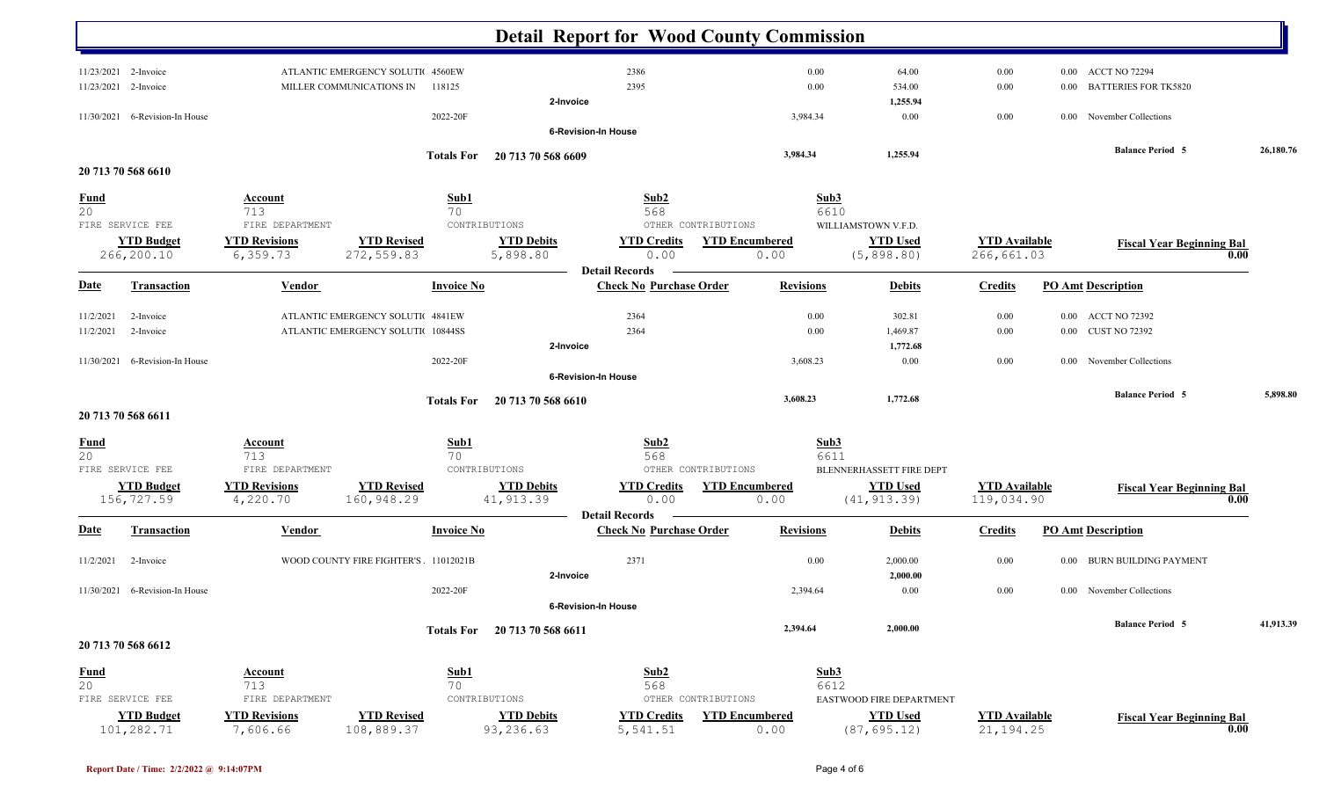|                    |                                |                      |                                      |                   |                               | <b>Detail Report for Wood County Commission</b>         |                       |                  |                          |                      |          |                                  |           |
|--------------------|--------------------------------|----------------------|--------------------------------------|-------------------|-------------------------------|---------------------------------------------------------|-----------------------|------------------|--------------------------|----------------------|----------|----------------------------------|-----------|
| 11/23/2021         | 2-Invoice                      |                      | ATLANTIC EMERGENCY SOLUTIC 4560EW    |                   |                               | 2386                                                    |                       | 0.00             | 64.00                    | 0.00                 |          | 0.00 ACCT NO 72294               |           |
| 11/23/2021         | 2-Invoice                      |                      | MILLER COMMUNICATIONS IN             | 118125            |                               | 2395                                                    |                       | 0.00             | 534.00                   | 0.00                 | 0.00     | <b>BATTERIES FOR TK5820</b>      |           |
|                    |                                |                      |                                      |                   | 2-Invoice                     |                                                         |                       |                  | 1,255.94                 |                      |          |                                  |           |
| 11/30/2021         | 6-Revision-In House            |                      |                                      | 2022-20F          |                               |                                                         |                       | 3,984.34         | 0.00                     | 0.00                 |          | 0.00 November Collections        |           |
|                    |                                |                      |                                      |                   |                               | 6-Revision-In House                                     |                       |                  |                          |                      |          |                                  |           |
|                    |                                |                      |                                      |                   | Totals For 20 713 70 568 6609 |                                                         |                       | 3,984.34         | 1,255.94                 |                      |          | <b>Balance Period 5</b>          | 26,180.76 |
| 20 713 70 568 6610 |                                |                      |                                      |                   |                               |                                                         |                       |                  |                          |                      |          |                                  |           |
|                    |                                |                      |                                      |                   |                               |                                                         |                       |                  |                          |                      |          |                                  |           |
| <b>Fund</b><br>20  |                                | Account<br>713       |                                      | Sub1<br>70        |                               | Sub2<br>568                                             |                       | Sub3             |                          |                      |          |                                  |           |
| FIRE SERVICE FEE   |                                | FIRE DEPARTMENT      |                                      | CONTRIBUTIONS     |                               |                                                         | OTHER CONTRIBUTIONS   | 6610             | WILLIAMSTOWN V.F.D.      |                      |          |                                  |           |
|                    | <b>YTD Budget</b>              | <b>YTD Revisions</b> | <b>YTD Revised</b>                   |                   | <b>YTD Debits</b>             | <b>YTD Credits</b>                                      | <b>YTD Encumbered</b> |                  | <b>YTD Used</b>          | <b>YTD Available</b> |          |                                  |           |
|                    | 266,200.10                     | 6,359.73             | 272,559.83                           |                   | 5,898.80                      | 0.00                                                    | 0.00                  |                  | (5, 898.80)              | 266,661.03           |          | <b>Fiscal Year Beginning Bal</b> | 0.00      |
|                    |                                |                      |                                      |                   |                               | <b>Detail Records</b>                                   |                       |                  |                          |                      |          |                                  |           |
| <b>Date</b>        | <b>Transaction</b>             | Vendor               |                                      | <b>Invoice No</b> |                               | <b>Check No Purchase Order</b>                          |                       | <b>Revisions</b> | <b>Debits</b>            | <b>Credits</b>       |          | <b>PO Amt Description</b>        |           |
| 11/2/2021          | 2-Invoice                      |                      | ATLANTIC EMERGENCY SOLUTIC 4841EW    |                   |                               | 2364                                                    |                       | 0.00             | 302.81                   | 0.00                 |          | 0.00 ACCT NO 72392               |           |
| 11/2/2021          | 2-Invoice                      |                      | ATLANTIC EMERGENCY SOLUTIC 10844SS   |                   |                               | 2364                                                    |                       | 0.00             | 1,469.87                 | $0.00\,$             |          | 0.00 CUST NO 72392               |           |
|                    |                                |                      |                                      |                   | 2-Invoice                     |                                                         |                       |                  | 1,772.68                 |                      |          |                                  |           |
| 11/30/2021         | 6-Revision-In House            |                      |                                      | 2022-20F          |                               |                                                         |                       | 3,608.23         | 0.00                     | $0.00\,$             |          | 0.00 November Collections        |           |
|                    |                                |                      |                                      |                   |                               | <b>6-Revision-In House</b>                              |                       |                  |                          |                      |          |                                  |           |
|                    |                                |                      |                                      | <b>Totals For</b> | 20 713 70 568 6610            |                                                         |                       | 3,608.23         | 1,772.68                 |                      |          | <b>Balance Period 5</b>          | 5,898.80  |
| 20 713 70 568 6611 |                                |                      |                                      |                   |                               |                                                         |                       |                  |                          |                      |          |                                  |           |
| <b>Fund</b>        |                                | <b>Account</b>       |                                      | Sub1              |                               | Sub2                                                    |                       | Sub3             |                          |                      |          |                                  |           |
| 20                 |                                | 713                  |                                      | 70                |                               | 568                                                     |                       | 6611             |                          |                      |          |                                  |           |
| FIRE SERVICE FEE   |                                | FIRE DEPARTMENT      |                                      | CONTRIBUTIONS     |                               |                                                         | OTHER CONTRIBUTIONS   |                  | BLENNERHASSETT FIRE DEPT |                      |          |                                  |           |
|                    | <b>YTD Budget</b>              | <b>YTD Revisions</b> | <b>YTD Revised</b>                   |                   | <b>YTD Debits</b>             | <b>YTD Credits</b>                                      | <b>YTD Encumbered</b> |                  | <b>YTD Used</b>          | <b>YTD</b> Available |          | <b>Fiscal Year Beginning Bal</b> |           |
|                    | 156,727.59                     | 4,220.70             | 160,948.29                           |                   | 41, 913.39                    | 0.00                                                    | 0.00                  |                  | (41, 913.39)             | 119,034.90           |          |                                  | 0.00      |
| <b>Date</b>        | <b>Transaction</b>             | Vendor               |                                      | <b>Invoice No</b> |                               | <b>Detail Records</b><br><b>Check No Purchase Order</b> |                       | <b>Revisions</b> | <b>Debits</b>            | <b>Credits</b>       |          | <b>PO Amt Description</b>        |           |
|                    |                                |                      |                                      |                   |                               | 2371                                                    |                       |                  |                          |                      |          | <b>BURN BUILDING PAYMENT</b>     |           |
| 11/2/2021          | 2-Invoice                      |                      | WOOD COUNTY FIRE FIGHTER'S 11012021B |                   |                               |                                                         |                       | 0.00             | 2,000.00<br>2,000.00     | $0.00\,$             | $0.00\,$ |                                  |           |
|                    | 11/30/2021 6-Revision-In House |                      |                                      | 2022-20F          | 2-Invoice                     |                                                         |                       | 2,394.64         | 0.00                     | $0.00\,$             |          | 0.00 November Collections        |           |
|                    |                                |                      |                                      |                   |                               | 6-Revision-In House                                     |                       |                  |                          |                      |          |                                  |           |
|                    |                                |                      |                                      |                   |                               |                                                         |                       |                  |                          |                      |          | <b>Balance Period 5</b>          | 41,913.39 |
| 20 713 70 568 6612 |                                |                      |                                      |                   | Totals For 20 713 70 568 6611 |                                                         |                       | 2,394.64         | 2,000.00                 |                      |          |                                  |           |
|                    |                                |                      |                                      |                   |                               |                                                         |                       |                  |                          |                      |          |                                  |           |
|                    |                                | <b>Account</b>       |                                      | Sub1              |                               | Sub2                                                    |                       | Sub3             |                          |                      |          |                                  |           |
| $\frac{Fund}{20}$  |                                | 713                  |                                      | 70                |                               | 568                                                     |                       | 6612             |                          |                      |          |                                  |           |
| FIRE SERVICE FEE   |                                | FIRE DEPARTMENT      |                                      | CONTRIBUTIONS     |                               |                                                         | OTHER CONTRIBUTIONS   |                  | EASTWOOD FIRE DEPARTMENT |                      |          |                                  |           |
|                    | <b>YTD Budget</b>              | <b>YTD Revisions</b> | <b>YTD Revised</b>                   |                   | <b>YTD Debits</b>             | <b>YTD Credits</b>                                      | <b>YTD Encumbered</b> |                  | <b>YTD Used</b>          | <b>YTD</b> Available |          | <b>Fiscal Year Beginning Bal</b> |           |
|                    | 101,282.71                     | 7,606.66             | 108,889.37                           |                   | 93,236.63                     | 5,541.51                                                | 0.00                  |                  | (87, 695.12)             | 21, 194. 25          |          |                                  | 0.00      |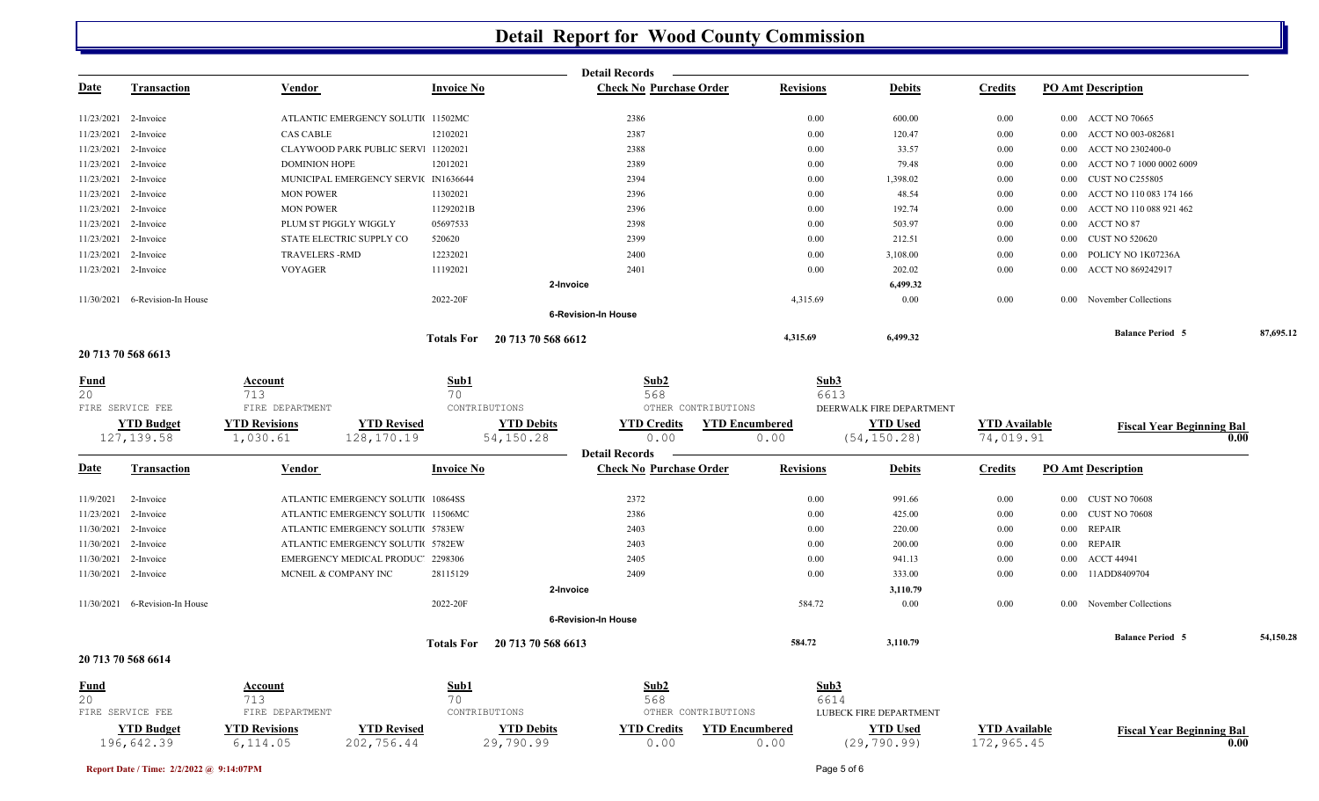|             |                                 |                                  |                                      |                                | <b>Detail Records</b>                                   |                               |                                 |                                    |          |                                  |           |
|-------------|---------------------------------|----------------------------------|--------------------------------------|--------------------------------|---------------------------------------------------------|-------------------------------|---------------------------------|------------------------------------|----------|----------------------------------|-----------|
| <u>Date</u> | <b>Transaction</b>              | Vendor                           | <b>Invoice No</b>                    |                                | <b>Check No Purchase Order</b>                          | <b>Revisions</b>              | <b>Debits</b>                   | <b>Credits</b>                     |          | <b>PO Amt Description</b>        |           |
| 11/23/2021  | 2-Invoice                       |                                  | ATLANTIC EMERGENCY SOLUTI 11502MC    |                                | 2386                                                    | 0.00                          | 600.00                          | 0.00                               |          | 0.00 ACCT NO 70665               |           |
|             | 11/23/2021 2-Invoice            | <b>CAS CABLE</b>                 | 12102021                             |                                | 2387                                                    | 0.00                          | 120.47                          | 0.00                               |          | 0.00 ACCT NO 003-082681          |           |
| 11/23/2021  | 2-Invoice                       |                                  | CLAYWOOD PARK PUBLIC SERV: 11202021  |                                | 2388                                                    | 0.00                          | 33.57                           | 0.00                               | 0.00     | ACCT NO 2302400-0                |           |
| 11/23/2021  | 2-Invoice                       | <b>DOMINION HOPE</b>             | 12012021                             |                                | 2389                                                    | 0.00                          | 79.48                           | 0.00                               | 0.00     | ACCT NO 7 1000 0002 6009         |           |
| 11/23/2021  | 2-Invoice                       |                                  | MUNICIPAL EMERGENCY SERVIC IN1636644 |                                | 2394                                                    | 0.00                          | 1,398.02                        | 0.00                               | 0.00     | <b>CUST NO C255805</b>           |           |
| 11/23/2021  | 2-Invoice                       | <b>MON POWER</b>                 | 11302021                             |                                | 2396                                                    | 0.00                          | 48.54                           | 0.00                               | 0.00     | ACCT NO 110 083 174 166          |           |
| 11/23/2021  | 2-Invoice                       | <b>MON POWER</b>                 | 11292021B                            |                                | 2396                                                    | 0.00                          | 192.74                          | 0.00                               | 0.00     | ACCT NO 110 088 921 462          |           |
| 11/23/2021  | 2-Invoice                       | PLUM ST PIGGLY WIGGLY            | 05697533                             |                                | 2398                                                    | 0.00                          | 503.97                          | 0.00                               | 0.00     | ACCT NO 87                       |           |
| 11/23/2021  | 2-Invoice                       | STATE ELECTRIC SUPPLY CO         | 520620                               |                                | 2399                                                    | 0.00                          | 212.51                          | 0.00                               | 0.00     | <b>CUST NO 520620</b>            |           |
| 11/23/2021  | 2-Invoice                       | <b>TRAVELERS - RMD</b>           | 12232021                             |                                | 2400                                                    | $0.00\,$                      | 3,108.00                        | 0.00                               | 0.00     | POLICY NO 1K07236A               |           |
|             | 11/23/2021 2-Invoice            | <b>VOYAGER</b>                   | 11192021                             |                                | 2401                                                    | 0.00                          | 202.02                          | 0.00                               | $0.00\,$ | ACCT NO 869242917                |           |
|             |                                 |                                  |                                      | 2-Invoice                      |                                                         |                               | 6,499.32                        |                                    |          |                                  |           |
|             | 11/30/2021 6-Revision-In House  |                                  | 2022-20F                             |                                |                                                         | 4,315.69                      | 0.00                            | $0.00\,$                           |          | 0.00 November Collections        |           |
|             |                                 |                                  |                                      |                                | <b>6-Revision-In House</b>                              |                               |                                 |                                    |          |                                  |           |
|             |                                 |                                  |                                      | Totals For 20 713 70 568 6612  |                                                         | 4,315.69                      | 6,499.32                        |                                    |          | <b>Balance Period 5</b>          | 87,695.12 |
|             | 20 713 70 568 6613              |                                  |                                      |                                |                                                         |                               |                                 |                                    |          |                                  |           |
| Fund        |                                 | Account                          | Sub1                                 |                                | Sub2                                                    |                               | Sub3                            |                                    |          |                                  |           |
| 20          |                                 | 713                              | 70                                   |                                | 568                                                     |                               | 6613                            |                                    |          |                                  |           |
|             | FIRE SERVICE FEE                | FIRE DEPARTMENT                  |                                      | CONTRIBUTIONS                  | OTHER CONTRIBUTIONS                                     |                               | DEERWALK FIRE DEPARTMENT        |                                    |          |                                  |           |
|             | <b>YTD Budget</b>               | <b>YTD Revisions</b>             | <b>YTD Revised</b>                   | <b>YTD Debits</b>              | <b>YTD Credits</b>                                      | <b>YTD Encumbered</b>         | <b>YTD Used</b>                 | <b>YTD Available</b>               |          | <b>Fiscal Year Beginning Bal</b> |           |
|             | 127, 139.58                     | 1,030.61                         | 128,170.19                           | 54,150.28                      | 0.00                                                    | 0.00                          | (54, 150.28)                    | 74,019.91                          |          |                                  | 0.00      |
| <u>Date</u> | <b>Transaction</b>              | Vendor                           | <b>Invoice No</b>                    |                                | <b>Detail Records</b><br><b>Check No Purchase Order</b> | <b>Revisions</b>              | <b>Debits</b>                   | <b>Credits</b>                     |          | <b>PO Amt Description</b>        |           |
|             |                                 |                                  |                                      |                                |                                                         |                               |                                 |                                    |          |                                  |           |
| 11/9/2021   | 2-Invoice                       |                                  | ATLANTIC EMERGENCY SOLUTI 10864SS    |                                | 2372                                                    | $0.00\,$                      | 991.66                          | 0.00                               |          | 0.00 CUST NO 70608               |           |
| 11/23/2021  | 2-Invoice                       |                                  | ATLANTIC EMERGENCY SOLUTIC 11506MC   |                                | 2386                                                    | 0.00                          | 425.00                          | 0.00                               |          | 0.00 CUST NO 70608               |           |
| 11/30/2021  | 2-Invoice                       |                                  | ATLANTIC EMERGENCY SOLUTIC 5783EW    |                                | 2403                                                    | 0.00                          | 220.00                          | 0.00                               | $0.00\,$ | <b>REPAIR</b>                    |           |
| 11/30/2021  | 2-Invoice                       |                                  | ATLANTIC EMERGENCY SOLUTIC 5782EW    |                                | 2403                                                    | $0.00\,$                      | 200.00                          | 0.00                               |          | 0.00 REPAIR                      |           |
| 11/30/2021  | 2-Invoice                       |                                  | EMERGENCY MEDICAL PRODUC' 2298306    |                                | 2405                                                    | 0.00                          | 941.13                          | 0.00                               |          | 0.00 ACCT 44941                  |           |
| 11/30/2021  | 2-Invoice                       | MCNEIL & COMPANY INC             | 28115129                             |                                | 2409                                                    | 0.00                          | 333.00                          | 0.00                               | 0.00     | 11ADD8409704                     |           |
|             |                                 |                                  |                                      | 2-Invoice                      |                                                         |                               | 3,110.79                        |                                    |          |                                  |           |
|             | 11/30/2021 6-Revision-In House  |                                  | 2022-20F                             |                                |                                                         | 584.72                        | 0.00                            | 0.00                               |          | 0.00 November Collections        |           |
|             |                                 |                                  |                                      |                                | <b>6-Revision-In House</b>                              |                               |                                 |                                    |          | <b>Balance Period 5</b>          | 54,150.28 |
|             | 20 713 70 568 6614              |                                  |                                      | Totals For 20 713 70 568 6613  |                                                         | 584.72                        | 3,110.79                        |                                    |          |                                  |           |
|             |                                 |                                  |                                      |                                |                                                         |                               |                                 |                                    |          |                                  |           |
| <u>Fund</u> |                                 | <b>Account</b>                   | Sub1                                 |                                | Sub2                                                    |                               | Sub3                            |                                    |          |                                  |           |
| 20          |                                 | 713                              | 70                                   |                                | 568                                                     |                               | 6614                            |                                    |          |                                  |           |
|             | FIRE SERVICE FEE                | FIRE DEPARTMENT                  |                                      | CONTRIBUTIONS                  | OTHER CONTRIBUTIONS                                     |                               | LUBECK FIRE DEPARTMENT          |                                    |          |                                  |           |
|             | <b>YTD Budget</b><br>196,642.39 | <b>YTD Revisions</b><br>6,114.05 | <b>YTD Revised</b><br>202,756.44     | <b>YTD Debits</b><br>29,790.99 | <b>YTD Credits</b><br>0.00                              | <b>YTD Encumbered</b><br>0.00 | <b>YTD Used</b><br>(29, 790.99) | <b>YTD Available</b><br>172,965.45 |          | <b>Fiscal Year Beginning Bal</b> | 0.00      |